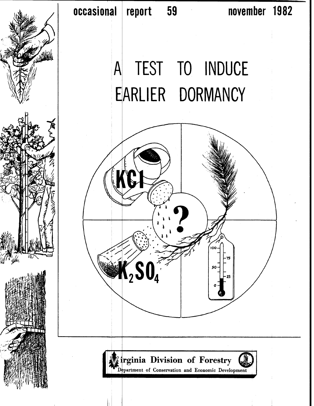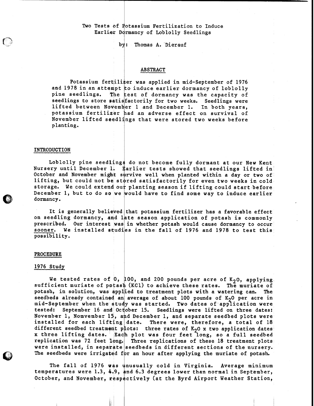## Two Tests of Potassium Fertilization to Induce Earlier Dormancy of Loblolly Seedlings

by: Thomas A. Dierauf

## ABSTRACT

Potassium fertilizer was applied in mid-September of 1976 and 1978 in an attempt to induce earlier dormancy of loblolly pine seedlings. The test of dormancy was the capacity of seedlings to store satis factorily for two weeks. Seedlings were lifted between November 1 and December 1. In both years, potassium fertilizer had an adverse effect on survival of November lifted seedlings that were stored two weeks before planting.

### INTRODUCTION

Loblolly pine seedlings do not become fully dormant at our New Kent Nursery until December 1. Earlier tests showed that seedlings lifted in October and November might survive well when planted within a day or two of lifting, but could not be stored satisfactorily for even two weeks in cold storage. We could extend our planting season if lifting could start before December 1, but to do so we would have to find some way to induce earlier downancy.

It is generally believed that potassium fertilizer has a favorable effect on seedling dormancy, and late season application of potash is commonly prescribed. Our interest was in whether potash would cause dormancy to occur sooner. We installed studies in the fall of 1976 and 1978 to test this  $\,$ possibility. in wl<br>es in<br>

#### PROCEDURE

#### 1976 Study

We tested rates of 0, 100, and 200 pounds per acre of  $K_2O$ , applying, sufficient muriate of potash (KC1) to achieve these rates. The muriate of potash, in solution, was applied to treatment plots with a watering can. The seedbeds already contained an average of about 100 pounds of  $K_2$ 0 per acre in mid-September when the study was started. Two dates of application were tested: September 16 and October 15. Seedlings were lifted on three dates: November 1, Nomvember 15, and December 1, and separate seedbed plots were installed for each lifting date. There were, therefore, a total of  $18$ different seedbed treatment plots: three rates of K<sub>2</sub>0 x two application dates x three lifting dates. Each plot was four feet long, so a full seedbed replication was 72 feet long. Three replications of these 18 treatment plots were installed, in separate seedbeds in different sections of the nursery. The seedbeds were irrigated for an hour after applying the muriate of potash.

The fall of 1976 was unusually cold in Virginia. Average minimum temperatures were 1.3, 4.9, and 6.3 degrees lower than normal in September, October, and November, respectively (at the Byrd Airport Weather Station,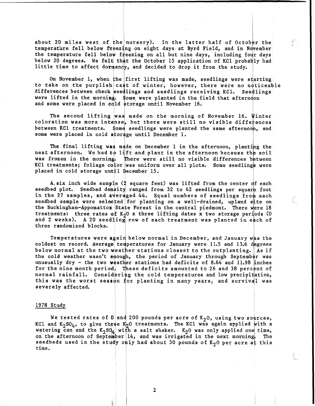about 20 miles west of the nursery). In the latter half of October the temperature fell below freezing on eight days at Byrd Field, and in November the temperature fell below freezing on all but nine days, including four days below 20 degrees. We felt that the October 15 application of KC1 probably had little time to affect dormancy, and decided to drop it from the study. about 20 miles west of the nursery). In the latter half of Octob<br>temperature fell below freezing on eight days at Byrd Field, and in No<br>the temperature fell below freezing on all but nine days, including fou<br>polow 20 degre

to take on the purplish cast of winter, however, there were no noticeable differences between check seedlings and seedlings receiving KC1. Seedlings were lifted in the morning. \$ome were planted in the field that afterndon and some were placed in cold storage until November 16.

I

Ç.

I

.<br>ب

The second lifting was made on the morning of November 16. Winter coloration was more intense, but there were still no visible differences between KC1 treatments. \$ome seedlings were planted the same afternooh, and some were placed in cold storage until December 1.

The final lifting was made on December 1 in the afternoon, planting the next afternoon. We had to lift and plant in the afternoon because the soil was frozen in the morning. There were still no visible differences between KC1 treatments; foliage color was uniform over all plots. Some seedlings were placed in cold storage until December 15.

A six inch wide sample  $(2)$  square feet) was lifted from the center of each seedbed plot. Seedbed density ranged from 32 to 62 seedlings per square foot in the 27 samples, and averaged 44. Equal numbers of seedlings from each seedbed sample were selected for planting on a well-drained, upland site on the Buckingham-Appomattox State Forest in the central piedmont. There were 18 treatments: three rates of  $K<sub>2</sub>0$  x three lifting dates x two storage periods (0 and 2 weeks). A 20 seedling row of each treatment was planted in each of three randomized blocks.

Temperatures were again below normal in December, and January was the coldest on record. Average temperatures for January were 11.5 and 13.6 degrees below normal at the two weather stations closest to the outplanting. As if the cold weather wasn't enough, the period of January through September was unusually dry - the two weather stations had deficits of 8.64 and 11.98 inches for the nine month period. These deficits amounted to 26 and 38 percent of normal rainfall. Considering the cold temperatures and low precipitation, this was the worst season for planting in many years, and survival was below normal at the two weather stations closest to the outplanting. As if<br>the cold weather wasn't enough, the period of January through September was<br>musually dry - the two weather stations had deficits of 8.64 and 11.98

### 1978 Study

We tested rates of  $0$  and 200 pounds per acre of  $K_2$ 0, using two sources, KC1 and K<sub>2</sub>SO<sub>4</sub>, to give three K<sub>2</sub>O treatments. The KC1 was again applied with a watering can and the  $K_2SG_4$  with a salt shaker.  $K_2O$  was only applied one time, on the afternoon of September  $|14$ , and was irrigated in the next morning The seedbeds used in the study only had about 30 pounds of  $K_2O$  per time.

 $\overline{2}$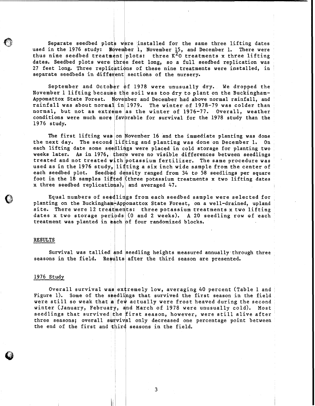Separate seedbed plots were installed for the same three lifting dates in the 1976 study: November 1, November 15, and December 1. There were used in the 1976 study: November 1, November 15, and December 1. thus nine seedbed treatment plots: three  $K^2$ O treatments x three lifting dates. Seedbed plots were three feet long, so a full seedbed replication was 27 feet long. Three replications of these nine treatments were installed, in separate seedbeds in different sections of the nursery.

September and October  $\phi$ f 1978 were unusually dry. We dropped the November 1 lifting because the soil was too dry to plant on the Buckingham-Appomattox State Forest. November and December had above normal rainfall, and rainfall was about normal in 1979. The winter of 1978-79 was colder than normal, but not as extreme as the winter of  $1976-77.$  Overall, weather 1976 study. conditions were much more favorable for survival for the 1978 study than the

The first lifting was on November 16 and the immediate planting was done the next day. The second lifting and planting was done on December 1. On each lifting date some seedlings were placed in cold storage for planting two weeks later. As in 1976, there were no visible differences between seedlings treated and not treated with potassium fertilizer. The same procedure was used as in the 1976 study, lifting a six inch wide sample from the center of each seedbed plot. Seedbed density ranged from 34 to 58 seedlings per square foot in the 18 samples lifted (three potassium treatments x two lifting dates x three seedbed replications), and averaged 47.

Equal numbers of seedlings from each seedbed sample were selected for planting on the Buckingham-Appomattox State Forest, on a well-drained, upland site. There were 12 treatments: three potassium treatments x two lifting dates x two storage periods (0 and 2 weeks). A 20 seedling row of each treatment was planted in each of four randomized blocks.

#### RESULTS

Survival was tallied and seedling heights measured annually through three seasons in the field. Results after the third season are presented.

I I

### 1976 Study

Overall survival was extremely low, averaging 40 percent (Table 1 and Figure 1). Some of the seedlings that survived the first season in the field were still so weak that a few actually were frost heaved during the second winter (January, February, and March of 1978 were unusually cold). Most seedlings that survived the first season, however, were still alive after three seasons; overall survival only decreased one percentage point between the end of the first and third seasons in the field.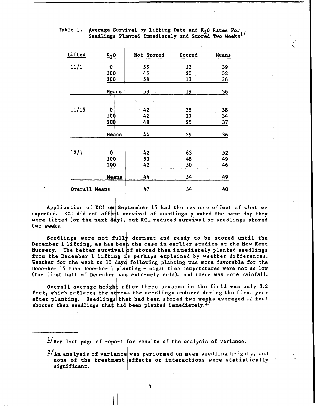| Table 1. | Average Survival by Lifting Date and $K_2O$ Rates For Seedlings Planted Immediately and Stored Two Weeks <sup>1</sup> |  |  |  |  |  |
|----------|-----------------------------------------------------------------------------------------------------------------------|--|--|--|--|--|
|          |                                                                                                                       |  |  |  |  |  |

| Lifted        | $K_2$ <sup>O</sup> | Not Stored     | Stored | Means |
|---------------|--------------------|----------------|--------|-------|
| 11/1          | 0                  | 55             | 23     | 39    |
|               | 100                | 45             | 20     | 32    |
|               | 200                | 58             | 13     | 36    |
|               | Means              | 53             | 19     | 36    |
|               |                    | $\mathbf{R}_n$ |        |       |
| 11/15         | 0                  | 42             | 35     | 38    |
|               | 100                | 42             | 27     | 34    |
|               | 200                | 48             | 25     | 37    |
|               | Means              | 44             | 29     | 36    |
| 12/1          | 0                  | 42             | 63     | 52    |
|               | 100                | 50             | 48     | 49    |
|               | 200                | 42             | 50     | 46    |
|               | Means              | 44             | 54     | 49    |
| Overall Means |                    | 47             | 34     | 40    |

Application of KC1 on September 15 had the reverse effect of what we expected. KC1 did not affect survival of seedlings planted the same day they were lifted (or the next  $\{dy\}$ , but KCl reduced survival of seedlings stored two weeks.

Seedlings were not fully dormant and ready to be stored until the December 1 lifting, as has been the case in earlier studies at the New Kent Nursery. The better survival of stored than immediately planted seedlings from the December 1 lifting is perhaps explained by weather differences. Weather for the week to  $10^{\circ}$  days following planting was more favorable for the December 15 than December 1 planting - night time temperatures were not as low (the first half of December was extremely cold). and there was more rainfall.

Overall average height after three seasons in the field was only 3.2 feet, which reflects the stress the seedlings endured during the first year after planting. Seedlings that had been stored two weeks averaged .2 feet shorter than seedlings that had been planted immediately.<sup>2/</sup>

 $1/$ See last page of report for results of the analysis of variance.

 $2/$  An analysis of variance was performed on mean seedling heights, and none of the treatment effects or interactions were statistically significant.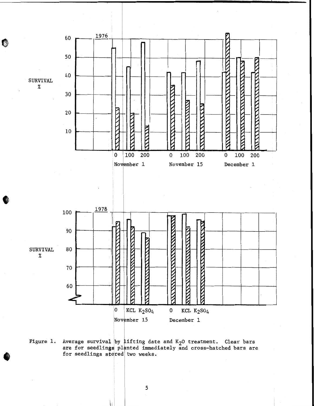

**are for seedling\$ planted immediately and cross-hatched bars are**  for seedlings stored two weeks.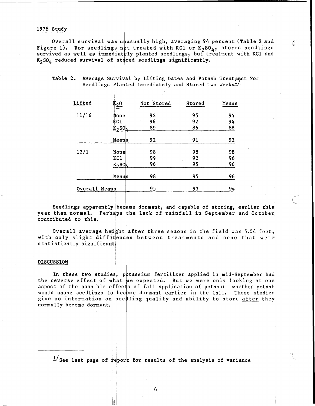## 1978 Study

Overall survival was unusually high, averaging 94 percent (Table 2 and **)** Figure 1). For seedlings not treated with KC1 or  $K_2SO_4$ , stored seedlings survived as well as immediately planted seedlings, but treatment with KCl and  $K<sub>2</sub>SO<sub>4</sub>$  reduced survival of stored seedlings significantly.

I

| Lifted        | $k_2$ o               | îъ.<br>Not Stored | Stored | Means |
|---------------|-----------------------|-------------------|--------|-------|
| 11/16         | None                  | 92                | 95     | 94    |
|               | KC1                   | 96                | 92     | 94    |
|               | $K_2$ SO <sub>4</sub> | 89                | 86     | 88    |
|               | Means                 | 92                | 91     | 92    |
| 12/1          | None                  | 98                | 98     | 98    |
|               | KC1                   | 99                | 92     | 96    |
|               | $K_2SO_4$             | 96                | 95     | 96    |
|               | Means                 | 98                | 95     | 96    |
| Overall Means |                       | 95                | 93     | 94    |

# Table 2. Average Survival by Lifting Dates and Potash Treatment For Seedlings Planted Immediately and Stored Two Weeks<sup>1</sup>/

Seedlings apparently became dormant, and capable of storing, earlier this  $\overline{\phantom{a}}$ year than normal. Perhaps the lack of rainfall in September and October contributed to this.

t.

Overall average height after three seaons in the field was 5.04 feet,<br>with only slight differences between treatments and none that were statistically significant. Overall average height after three seaons in the field was  $5.04$  feet,

#### **DISCUSSION**

In these two studies, potassium fertilizer applied in mid-September had the reverse effect of what we expected. But we were only looking at one aspect of the possible effects of fall application of potash: whether potash would cause seedlings to become dormant earlier in the fall. These studies give no information on seedling quality and ability to store after they normally become dormant.

 $\frac{1}{s}$  See last page of report for results of the analysis of variance

6